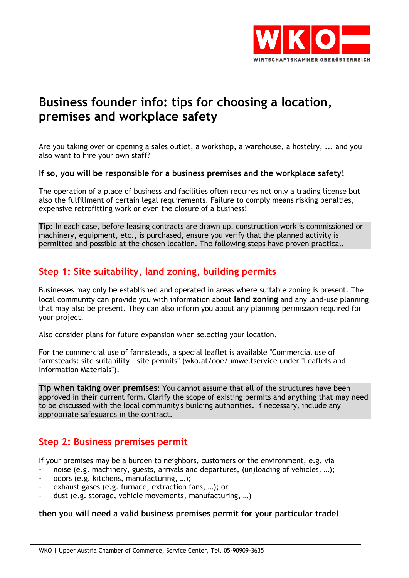

# **Business founder info: tips for choosing a location, premises and workplace safety**

Are you taking over or opening a sales outlet, a workshop, a warehouse, a hostelry, ... and you also want to hire your own staff?

#### **If so, you will be responsible for a business premises and the workplace safety!**

The operation of a place of business and facilities often requires not only a trading license but also the fulfillment of certain legal requirements. Failure to comply means risking penalties, expensive retrofitting work or even the closure of a business!

**Tip:** In each case, before leasing contracts are drawn up, construction work is commissioned or machinery, equipment, etc., is purchased, ensure you verify that the planned activity is permitted and possible at the chosen location. The following steps have proven practical.

## **Step 1: Site suitability, land zoning, building permits**

Businesses may only be established and operated in areas where suitable zoning is present. The local community can provide you with information about **land zoning** and any land-use planning that may also be present. They can also inform you about any planning permission required for your project.

Also consider plans for future expansion when selecting your location.

For the commercial use of farmsteads, a special leaflet is available ["Commercial use of](http://portal.wko.at/wk/format_detail.wk?AngID=1&StID=475643&DstID=7067)  [farmsteads: site suitability](http://portal.wko.at/wk/format_detail.wk?AngID=1&StID=475643&DstID=7067) – site permits" [\(wko.at/ooe/umweltservice](http://wko.at/ooe/umweltservice) under "Leaflets and Information Materials").

**Tip when taking over premises:** You cannot assume that all of the structures have been approved in their current form. Clarify the scope of existing permits and anything that may need to be discussed with the local community's building authorities. If necessary, include any appropriate safeguards in the contract.

## **Step 2: Business premises permit**

If your premises may be a burden to neighbors, customers or the environment, e.g. via

- noise (e.g. machinery, guests, arrivals and departures, (un)loading of vehicles, ...);
- odors (e.g. kitchens, manufacturing, ...);
- exhaust gases (e.g. furnace, extraction fans, ...); or
- dust (e.g. storage, vehicle movements, manufacturing, ...)

#### **then you will need a valid business premises permit for your particular trade!**